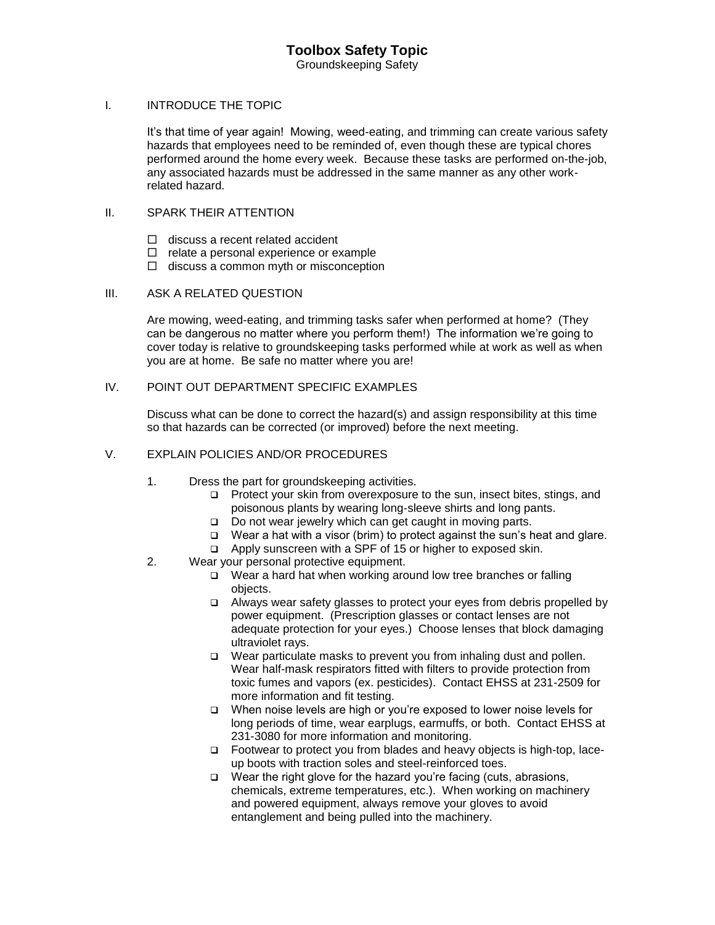#### I. INTRODUCE THE TOPIC

It's that time of year again! Mowing, weed-eating, and trimming can create various safety hazards that employees need to be reminded of, even though these are typical chores performed around the home every week. Because these tasks are performed on-the-job, any associated hazards must be addressed in the same manner as any other workrelated hazard.

### II. SPARK THEIR ATTENTION

- $\Box$  discuss a recent related accident
- $\Box$  relate a personal experience or example
- $\Box$  discuss a common myth or misconception

### III. ASK A RELATED QUESTION

Are mowing, weed-eating, and trimming tasks safer when performed at home? (They can be dangerous no matter where you perform them!) The information we're going to cover today is relative to groundskeeping tasks performed while at work as well as when you are at home. Be safe no matter where you are!

### IV. POINT OUT DEPARTMENT SPECIFIC EXAMPLES

Discuss what can be done to correct the hazard(s) and assign responsibility at this time so that hazards can be corrected (or improved) before the next meeting.

### V. EXPLAIN POLICIES AND/OR PROCEDURES

- 1. Dress the part for groundskeeping activities.
	- **Protect your skin from overexposure to the sun, insect bites, stings, and** poisonous plants by wearing long-sleeve shirts and long pants.
	- $\Box$  Do not wear jewelry which can get caught in moving parts.
	- $\Box$  Wear a hat with a visor (brim) to protect against the sun's heat and glare.
	- □ Apply sunscreen with a SPF of 15 or higher to exposed skin.
- 2. Wear your personal protective equipment.
	- $\Box$  Wear a hard hat when working around low tree branches or falling objects.
	- $\Box$  Always wear safety glasses to protect your eyes from debris propelled by power equipment. (Prescription glasses or contact lenses are not adequate protection for your eyes.) Choose lenses that block damaging ultraviolet rays.
	- $\Box$  Wear particulate masks to prevent you from inhaling dust and pollen. Wear half-mask respirators fitted with filters to provide protection from toxic fumes and vapors (ex. pesticides). Contact EHSS at 231-2509 for more information and fit testing.
	- □ When noise levels are high or you're exposed to lower noise levels for long periods of time, wear earplugs, earmuffs, or both. Contact EHSS at 231-3080 for more information and monitoring.
	- □ Footwear to protect you from blades and heavy objects is high-top, laceup boots with traction soles and steel-reinforced toes.
	- $\Box$  Wear the right glove for the hazard you're facing (cuts, abrasions, chemicals, extreme temperatures, etc.). When working on machinery and powered equipment, always remove your gloves to avoid entanglement and being pulled into the machinery.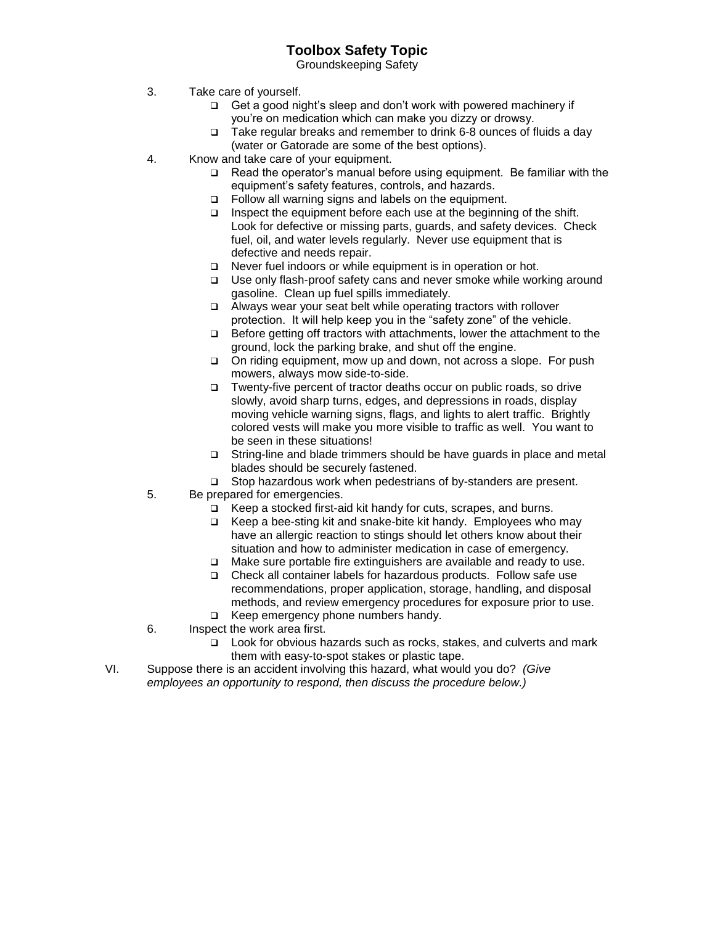# **Toolbox Safety Topic**

Groundskeeping Safety

- 3. Take care of yourself.
	- $\Box$  Get a good night's sleep and don't work with powered machinery if you're on medication which can make you dizzy or drowsy.
	- $\Box$  Take regular breaks and remember to drink 6-8 ounces of fluids a day (water or Gatorade are some of the best options).
- 4. Know and take care of your equipment.
	- $\Box$  Read the operator's manual before using equipment. Be familiar with the equipment's safety features, controls, and hazards.
	- □ Follow all warning signs and labels on the equipment.
	- $\Box$  Inspect the equipment before each use at the beginning of the shift. Look for defective or missing parts, guards, and safety devices. Check fuel, oil, and water levels regularly. Never use equipment that is defective and needs repair.
	- □ Never fuel indoors or while equipment is in operation or hot.
	- □ Use only flash-proof safety cans and never smoke while working around gasoline. Clean up fuel spills immediately.
	- Always wear your seat belt while operating tractors with rollover protection. It will help keep you in the "safety zone" of the vehicle.
	- □ Before getting off tractors with attachments, lower the attachment to the ground, lock the parking brake, and shut off the engine.
	- □ On riding equipment, mow up and down, not across a slope. For push mowers, always mow side-to-side.
	- Twenty-five percent of tractor deaths occur on public roads, so drive slowly, avoid sharp turns, edges, and depressions in roads, display moving vehicle warning signs, flags, and lights to alert traffic. Brightly colored vests will make you more visible to traffic as well. You want to be seen in these situations!
	- String-line and blade trimmers should be have guards in place and metal blades should be securely fastened.
	- □ Stop hazardous work when pedestrians of by-standers are present.
- 5. Be prepared for emergencies.
	- Keep a stocked first-aid kit handy for cuts, scrapes, and burns.
	- $\Box$  Keep a bee-sting kit and snake-bite kit handy. Employees who may have an allergic reaction to stings should let others know about their situation and how to administer medication in case of emergency.
	- $\Box$  Make sure portable fire extinguishers are available and ready to use.
	- Check all container labels for hazardous products. Follow safe use recommendations, proper application, storage, handling, and disposal methods, and review emergency procedures for exposure prior to use. □ Keep emergency phone numbers handy.
- 6. Inspect the work area first.
	- Look for obvious hazards such as rocks, stakes, and culverts and mark them with easy-to-spot stakes or plastic tape.
- VI. Suppose there is an accident involving this hazard, what would you do? *(Give employees an opportunity to respond, then discuss the procedure below.)*